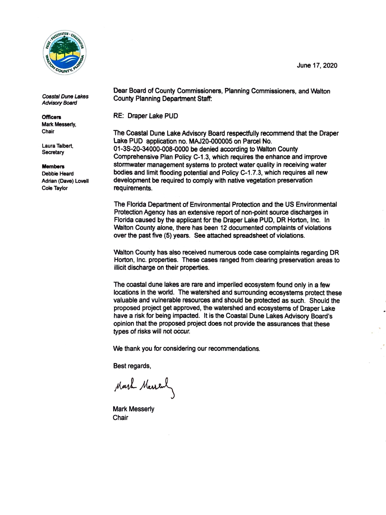

*Coastal Dune Lakes*  **Advisory Board** 

**Officers**  Mark Messerly, Chair

Laura Talbert, **Secretary** 

## **Members**

Debbie Heard Adrian **(Dave)** Lovell Cole Taylor

Dear Board of County Commissioners, Planning Commissioners, and Walton County Planning Department Staff:

RE: Draper Lake PUD

The Coastal Dune Lake Advisory Board respectfully recommend that the Draper Lake PUD application no. MAJ20-000005 on Parcel No. 01-3S-20-34000-008-0000 be denied according to Walton County Comprehensive Plan Policy C-1.3, which requires the enhance and improve stormwater management systems to protect water quality in receiving water bodies and limit flooding potential and Policy C-1.7.3, which requires all new development be required to comply with native vegetation preservation requirements.

The Florida Department of Environmental Protection and the US Environmental Protection Agency has an extensive report of non-point source discharges in Florida caused by the applicant for the Draper Lake PUD, DR Horton, Inc. In Walton County alone, there has been 12 documented complaints of violations over the past five (5) years. See attached spreadsheet of violations.

Walton County has also received numerous code case complaints regarding DR Horton, Inc. properties. These cases ranged from clearing preservation areas to illicit discharge on their properties.

The coastal dune lakes are rare and imperiled ecosystem found only in a few locations in the world. The watershed and surrounding ecosystems protect these valuable and vulnerable resources and should be protected as such. Should the proposed project get approved, the watershed and ecosystems of Draper Lake have a risk for being impacted. It is the Coastal Dune Lakes Advisory Board's opinion that the proposed project does not provide the assurances that these types of risks will not occur.

We thank you for considering our recommendations.

Best regards,

Mark Merreal

Mark Messerly **Chair** 

June 17, 2020